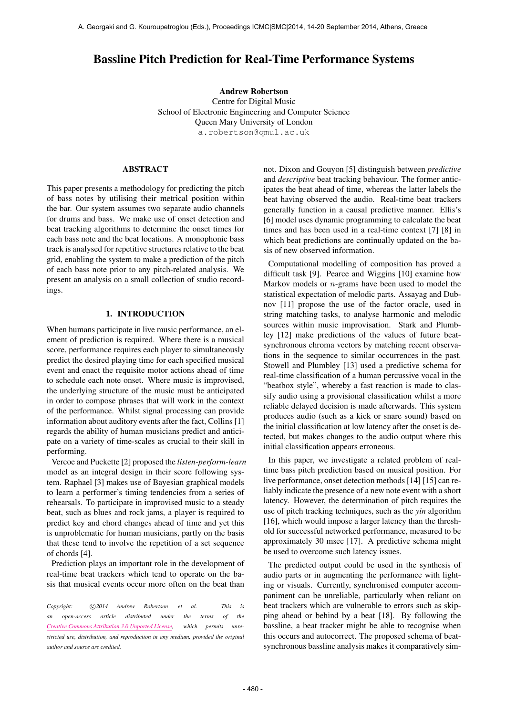# Bassline Pitch Prediction for Real-Time Performance Systems

Andrew Robertson Centre for Digital Music School of Electronic Engineering and Computer Science Queen Mary University of London [a.robertson@qmul.ac.uk](mailto:a.robertson@qmul.ac.uk)

# ABSTRACT

This paper presents a methodology for predicting the pitch of bass notes by utilising their metrical position within the bar. Our system assumes two separate audio channels for drums and bass. We make use of onset detection and beat tracking algorithms to determine the onset times for each bass note and the beat locations. A monophonic bass track is analysed for repetitive structures relative to the beat grid, enabling the system to make a prediction of the pitch of each bass note prior to any pitch-related analysis. We present an analysis on a small collection of studio recordings.

# 1. INTRODUCTION

When humans participate in live music performance, an element of prediction is required. Where there is a musical score, performance requires each player to simultaneously predict the desired playing time for each specified musical event and enact the requisite motor actions ahead of time to schedule each note onset. Where music is improvised, the underlying structure of the music must be anticipated in order to compose phrases that will work in the context of the performance. Whilst signal processing can provide information about auditory events after the fact, Collins [1] regards the ability of human musicians predict and anticipate on a variety of time-scales as crucial to their skill in performing.

Vercoe and Puckette [2] proposed the *listen-perform-learn* model as an integral design in their score following system. Raphael [3] makes use of Bayesian graphical models to learn a performer's timing tendencies from a series of rehearsals. To participate in improvised music to a steady beat, such as blues and rock jams, a player is required to predict key and chord changes ahead of time and yet this is unproblematic for human musicians, partly on the basis that these tend to involve the repetition of a set sequence of chords [4].

Prediction plays an important role in the development of real-time beat trackers which tend to operate on the basis that musical events occur more often on the beat than

Copyright:  $\bigcirc$ 2014 Andrew Robertson et al. This is *an open-access article distributed under the terms of the [Creative Commons Attribution 3.0 Unported License,](http://creativecommons.org/licenses/by/3.0/) which permits unrestricted use, distribution, and reproduction in any medium, provided the original author and source are credited.*

not. Dixon and Gouyon [5] distinguish between *predictive* and *descriptive* beat tracking behaviour. The former anticipates the beat ahead of time, whereas the latter labels the beat having observed the audio. Real-time beat trackers generally function in a causal predictive manner. Ellis's [6] model uses dynamic programming to calculate the beat times and has been used in a real-time context [7] [8] in which beat predictions are continually updated on the basis of new observed information.

Computational modelling of composition has proved a difficult task [9]. Pearce and Wiggins [10] examine how Markov models or n-grams have been used to model the statistical expectation of melodic parts. Assayag and Dubnov [11] propose the use of the factor oracle, used in string matching tasks, to analyse harmonic and melodic sources within music improvisation. Stark and Plumbley [12] make predictions of the values of future beatsynchronous chroma vectors by matching recent observations in the sequence to similar occurrences in the past. Stowell and Plumbley [13] used a predictive schema for real-time classification of a human percussive vocal in the "beatbox style", whereby a fast reaction is made to classify audio using a provisional classification whilst a more reliable delayed decision is made afterwards. This system produces audio (such as a kick or snare sound) based on the initial classification at low latency after the onset is detected, but makes changes to the audio output where this initial classification appears erroneous.

In this paper, we investigate a related problem of realtime bass pitch prediction based on musical position. For live performance, onset detection methods [14] [15] can reliably indicate the presence of a new note event with a short latency. However, the determination of pitch requires the use of pitch tracking techniques, such as the *yin* algorithm [16], which would impose a larger latency than the threshold for successful networked performance, measured to be approximately 30 msec [17]. A predictive schema might be used to overcome such latency issues.

The predicted output could be used in the synthesis of audio parts or in augmenting the performance with lighting or visuals. Currently, synchronised computer accompaniment can be unreliable, particularly when reliant on beat trackers which are vulnerable to errors such as skipping ahead or behind by a beat [18]. By following the bassline, a beat tracker might be able to recognise when this occurs and autocorrect. The proposed schema of beatsynchronous bassline analysis makes it comparatively sim-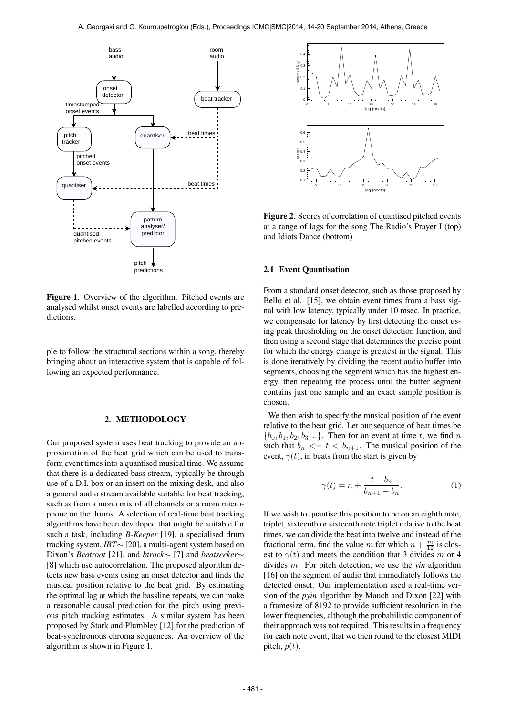

Figure 1. Overview of the algorithm. Pitched events are analysed whilst onset events are labelled according to predictions.

ple to follow the structural sections within a song, thereby bringing about an interactive system that is capable of following an expected performance.

## 2. METHODOLOGY

Our proposed system uses beat tracking to provide an approximation of the beat grid which can be used to transform event times into a quantised musical time. We assume that there is a dedicated bass stream, typically be through use of a D.I. box or an insert on the mixing desk, and also a general audio stream available suitable for beat tracking, such as from a mono mix of all channels or a room microphone on the drums. A selection of real-time beat tracking algorithms have been developed that might be suitable for such a task, including *B-Keeper* [19], a specialised drum tracking system, *IBT*∼ [20], a multi-agent system based on Dixon's *Beatroot* [21], and *btrack*∼ [7] and *beatseeker*∼ [8] which use autocorrelation. The proposed algorithm detects new bass events using an onset detector and finds the musical position relative to the beat grid. By estimating the optimal lag at which the bassline repeats, we can make a reasonable causal prediction for the pitch using previous pitch tracking estimates. A similar system has been proposed by Stark and Plumbley [12] for the prediction of beat-synchronous chroma sequences. An overview of the algorithm is shown in Figure 1.



Figure 2. Scores of correlation of quantised pitched events at a range of lags for the song The Radio's Prayer I (top) and Idiots Dance (bottom)

## 2.1 Event Quantisation

From a standard onset detector, such as those proposed by Bello et al. [15], we obtain event times from a bass signal with low latency, typically under 10 msec. In practice, we compensate for latency by first detecting the onset using peak thresholding on the onset detection function, and then using a second stage that determines the precise point for which the energy change is greatest in the signal. This is done iteratively by dividing the recent audio buffer into segments, choosing the segment which has the highest energy, then repeating the process until the buffer segment contains just one sample and an exact sample position is chosen.

We then wish to specify the musical position of the event relative to the beat grid. Let our sequence of beat times be  ${b_0, b_1, b_2, b_3, \ldots}$ . Then for an event at time t, we find n such that  $b_n \leq t \leq b_{n+1}$ . The musical position of the event,  $\gamma(t)$ , in beats from the start is given by

$$
\gamma(t) = n + \frac{t - b_n}{b_{n+1} - b_n}.\tag{1}
$$

If we wish to quantise this position to be on an eighth note, triplet, sixteenth or sixteenth note triplet relative to the beat times, we can divide the beat into twelve and instead of the fractional term, find the value m for which  $n + \frac{m}{12}$  is closest to  $\gamma(t)$  and meets the condition that 3 divides m or 4 divides m. For pitch detection, we use the *yin* algorithm [16] on the segment of audio that immediately follows the detected onset. Our implementation used a real-time version of the *pyin* algorithm by Mauch and Dixon [22] with a framesize of 8192 to provide sufficient resolution in the lower frequencies, although the probabilistic component of their approach was not required. This results in a frequency for each note event, that we then round to the closest MIDI pitch,  $p(t)$ .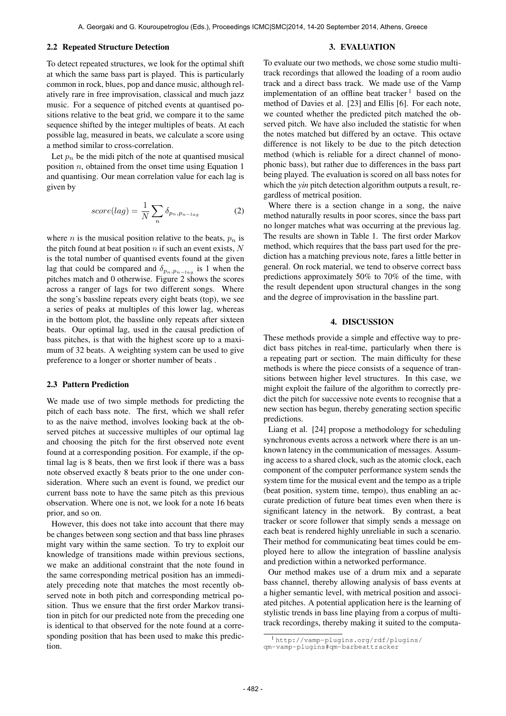## 2.2 Repeated Structure Detection

To detect repeated structures, we look for the optimal shift at which the same bass part is played. This is particularly common in rock, blues, pop and dance music, although relatively rare in free improvisation, classical and much jazz music. For a sequence of pitched events at quantised positions relative to the beat grid, we compare it to the same sequence shifted by the integer multiples of beats. At each possible lag, measured in beats, we calculate a score using a method similar to cross-correlation.

Let  $p_n$  be the midi pitch of the note at quantised musical position  $n$ , obtained from the onset time using Equation 1 and quantising. Our mean correlation value for each lag is given by

$$
score(lag) = \frac{1}{N} \sum_{n} \delta_{p_n, p_{n-lag}} \tag{2}
$$

where *n* is the musical position relative to the beats,  $p_n$  is the pitch found at beat position  $n$  if such an event exists,  $N$ is the total number of quantised events found at the given lag that could be compared and  $\delta_{p_n,p_{n-log}}$  is 1 when the pitches match and 0 otherwise. Figure 2 shows the scores across a ranger of lags for two different songs. Where the song's bassline repeats every eight beats (top), we see a series of peaks at multiples of this lower lag, whereas in the bottom plot, the bassline only repeats after sixteen beats. Our optimal lag, used in the causal prediction of bass pitches, is that with the highest score up to a maximum of 32 beats. A weighting system can be used to give preference to a longer or shorter number of beats .

#### 2.3 Pattern Prediction

We made use of two simple methods for predicting the pitch of each bass note. The first, which we shall refer to as the naive method, involves looking back at the observed pitches at successive multiples of our optimal lag and choosing the pitch for the first observed note event found at a corresponding position. For example, if the optimal lag is 8 beats, then we first look if there was a bass note observed exactly 8 beats prior to the one under consideration. Where such an event is found, we predict our current bass note to have the same pitch as this previous observation. Where one is not, we look for a note 16 beats prior, and so on.

However, this does not take into account that there may be changes between song section and that bass line phrases might vary within the same section. To try to exploit our knowledge of transitions made within previous sections, we make an additional constraint that the note found in the same corresponding metrical position has an immediately preceding note that matches the most recently observed note in both pitch and corresponding metrical position. Thus we ensure that the first order Markov transition in pitch for our predicted note from the preceding one is identical to that observed for the note found at a corresponding position that has been used to make this prediction.

#### 3. EVALUATION

To evaluate our two methods, we chose some studio multitrack recordings that allowed the loading of a room audio track and a direct bass track. We made use of the Vamp implementation of an offline beat tracker  $1$  based on the method of Davies et al. [23] and Ellis [6]. For each note, we counted whether the predicted pitch matched the observed pitch. We have also included the statistic for when the notes matched but differed by an octave. This octave difference is not likely to be due to the pitch detection method (which is reliable for a direct channel of monophonic bass), but rather due to differences in the bass part being played. The evaluation is scored on all bass notes for which the *yin* pitch detection algorithm outputs a result, regardless of metrical position.

Where there is a section change in a song, the naive method naturally results in poor scores, since the bass part no longer matches what was occurring at the previous lag. The results are shown in Table 1. The first order Markov method, which requires that the bass part used for the prediction has a matching previous note, fares a little better in general. On rock material, we tend to observe correct bass predictions approximately 50% to 70% of the time, with the result dependent upon structural changes in the song and the degree of improvisation in the bassline part.

## 4. DISCUSSION

These methods provide a simple and effective way to predict bass pitches in real-time, particularly when there is a repeating part or section. The main difficulty for these methods is where the piece consists of a sequence of transitions between higher level structures. In this case, we might exploit the failure of the algorithm to correctly predict the pitch for successive note events to recognise that a new section has begun, thereby generating section specific predictions.

Liang et al. [24] propose a methodology for scheduling synchronous events across a network where there is an unknown latency in the communication of messages. Assuming access to a shared clock, such as the atomic clock, each component of the computer performance system sends the system time for the musical event and the tempo as a triple (beat position, system time, tempo), thus enabling an accurate prediction of future beat times even when there is significant latency in the network. By contrast, a beat tracker or score follower that simply sends a message on each beat is rendered highly unreliable in such a scenario. Their method for communicating beat times could be employed here to allow the integration of bassline analysis and prediction within a networked performance.

Our method makes use of a drum mix and a separate bass channel, thereby allowing analysis of bass events at a higher semantic level, with metrical position and associated pitches. A potential application here is the learning of stylistic trends in bass line playing from a corpus of multitrack recordings, thereby making it suited to the computa-

<sup>1</sup> [http://vamp-plugins.org/rdf/plugins/](http://vamp-plugins.org/rdf/plugins/qm-vamp-plugins#qm-barbeattracker ) [qm-vamp-plugins#qm-barbeattracker](http://vamp-plugins.org/rdf/plugins/qm-vamp-plugins#qm-barbeattracker )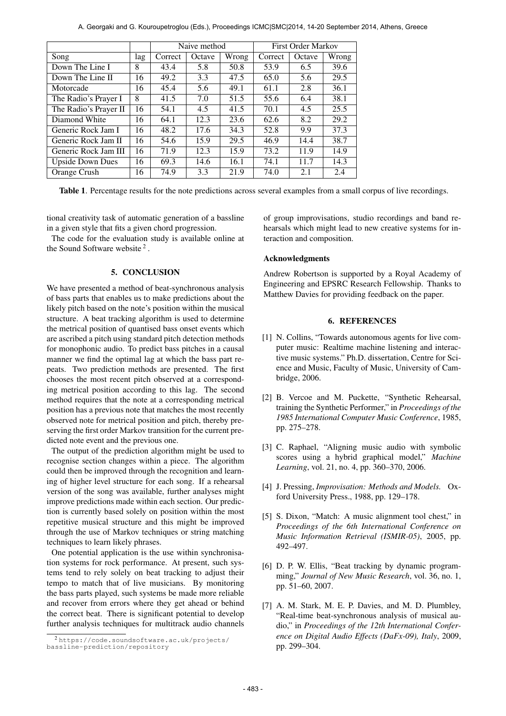|                         |     | Naive method |        |       | <b>First Order Markov</b> |        |       |
|-------------------------|-----|--------------|--------|-------|---------------------------|--------|-------|
| Song                    | lag | Correct      | Octave | Wrong | Correct                   | Octave | Wrong |
| Down The Line I         | 8   | 43.4         | 5.8    | 50.8  | 53.9                      | 6.5    | 39.6  |
| Down The Line II        | 16  | 49.2         | 3.3    | 47.5  | 65.0                      | 5.6    | 29.5  |
| Motorcade               | 16  | 45.4         | 5.6    | 49.1  | 61.1                      | 2.8    | 36.1  |
| The Radio's Prayer I    | 8   | 41.5         | 7.0    | 51.5  | 55.6                      | 6.4    | 38.1  |
| The Radio's Prayer II   | 16  | 54.1         | 4.5    | 41.5  | 70.1                      | 4.5    | 25.5  |
| Diamond White           | 16  | 64.1         | 12.3   | 23.6  | 62.6                      | 8.2    | 29.2  |
| Generic Rock Jam I      | 16  | 48.2         | 17.6   | 34.3  | 52.8                      | 9.9    | 37.3  |
| Generic Rock Jam II     | 16  | 54.6         | 15.9   | 29.5  | 46.9                      | 14.4   | 38.7  |
| Generic Rock Jam III    | 16  | 71.9         | 12.3   | 15.9  | 73.2                      | 11.9   | 14.9  |
| <b>Upside Down Dues</b> | 16  | 69.3         | 14.6   | 16.1  | 74.1                      | 11.7   | 14.3  |
| Orange Crush            | 16  | 74.9         | 3.3    | 21.9  | 74.0                      | 2.1    | 2.4   |

Table 1. Percentage results for the note predictions across several examples from a small corpus of live recordings.

tional creativity task of automatic generation of a bassline in a given style that fits a given chord progression.

The code for the evaluation study is available online at the Sound Software website  $2$ .

## 5. CONCLUSION

We have presented a method of beat-synchronous analysis of bass parts that enables us to make predictions about the likely pitch based on the note's position within the musical structure. A beat tracking algorithm is used to determine the metrical position of quantised bass onset events which are ascribed a pitch using standard pitch detection methods for monophonic audio. To predict bass pitches in a causal manner we find the optimal lag at which the bass part repeats. Two prediction methods are presented. The first chooses the most recent pitch observed at a corresponding metrical position according to this lag. The second method requires that the note at a corresponding metrical position has a previous note that matches the most recently observed note for metrical position and pitch, thereby preserving the first order Markov transition for the current predicted note event and the previous one.

The output of the prediction algorithm might be used to recognise section changes within a piece. The algorithm could then be improved through the recognition and learning of higher level structure for each song. If a rehearsal version of the song was available, further analyses might improve predictions made within each section. Our prediction is currently based solely on position within the most repetitive musical structure and this might be improved through the use of Markov techniques or string matching techniques to learn likely phrases.

One potential application is the use within synchronisation systems for rock performance. At present, such systems tend to rely solely on beat tracking to adjust their tempo to match that of live musicians. By monitoring the bass parts played, such systems be made more reliable and recover from errors where they get ahead or behind the correct beat. There is significant potential to develop further analysis techniques for multitrack audio channels of group improvisations, studio recordings and band rehearsals which might lead to new creative systems for interaction and composition.

## Acknowledgments

Andrew Robertson is supported by a Royal Academy of Engineering and EPSRC Research Fellowship. Thanks to Matthew Davies for providing feedback on the paper.

# 6. REFERENCES

- [1] N. Collins, "Towards autonomous agents for live computer music: Realtime machine listening and interactive music systems." Ph.D. dissertation, Centre for Science and Music, Faculty of Music, University of Cambridge, 2006.
- [2] B. Vercoe and M. Puckette, "Synthetic Rehearsal, training the Synthetic Performer," in *Proceedings of the 1985 International Computer Music Conference*, 1985, pp. 275–278.
- [3] C. Raphael, "Aligning music audio with symbolic scores using a hybrid graphical model," *Machine Learning*, vol. 21, no. 4, pp. 360–370, 2006.
- [4] J. Pressing, *Improvisation: Methods and Models.* Oxford University Press., 1988, pp. 129–178.
- [5] S. Dixon, "Match: A music alignment tool chest," in *Proceedings of the 6th International Conference on Music Information Retrieval (ISMIR-05)*, 2005, pp. 492–497.
- [6] D. P. W. Ellis, "Beat tracking by dynamic programming," *Journal of New Music Research*, vol. 36, no. 1, pp. 51–60, 2007.
- [7] A. M. Stark, M. E. P. Davies, and M. D. Plumbley, "Real-time beat-synchronous analysis of musical audio," in *Proceedings of the 12th International Conference on Digital Audio Effects (DaFx-09), Italy*, 2009, pp. 299–304.

<sup>2</sup> [https://code.soundsoftware.ac.uk/projects/](https://code.soundsoftware.ac.uk/projects/bassline-prediction/repository) [bassline-prediction/repository](https://code.soundsoftware.ac.uk/projects/bassline-prediction/repository)